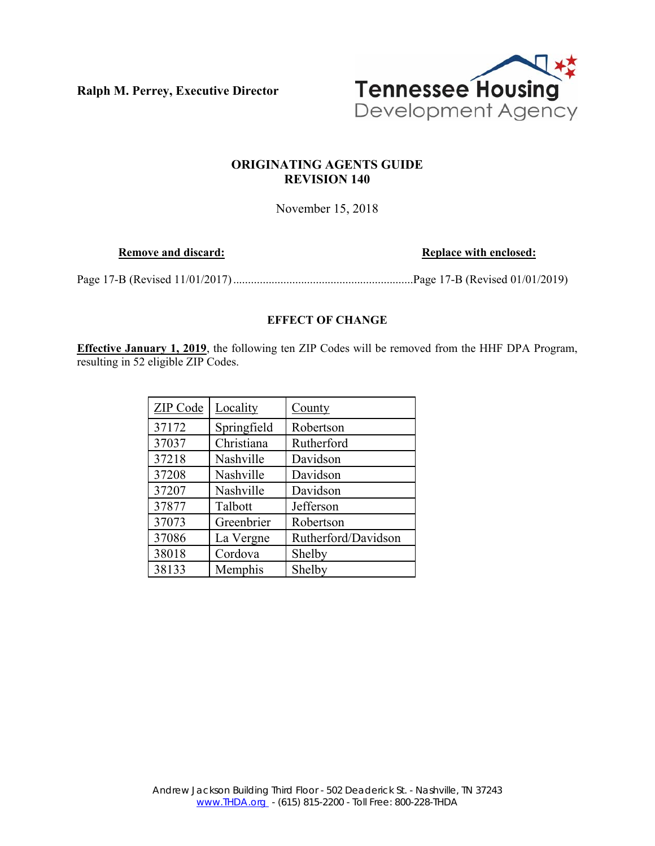**Ralph M. Perrey, Executive Director** 



# **ORIGINATING AGENTS GUIDE REVISION 140**

November 15, 2018

**Remove and discard: Replace with enclosed: Replace with enclosed:** 

Page 17-B (Revised 11/01/2017) ............................................................. Page 17-B (Revised 01/01/2019)

## **EFFECT OF CHANGE**

**Effective January 1, 2019**, the following ten ZIP Codes will be removed from the HHF DPA Program, resulting in 52 eligible ZIP Codes.

| ZIP Code | Locality    | <b>County</b>       |
|----------|-------------|---------------------|
| 37172    | Springfield | Robertson           |
| 37037    | Christiana  | Rutherford          |
| 37218    | Nashville   | Davidson            |
| 37208    | Nashville   | Davidson            |
| 37207    | Nashville   | Davidson            |
| 37877    | Talbott     | Jefferson           |
| 37073    | Greenbrier  | Robertson           |
| 37086    | La Vergne   | Rutherford/Davidson |
| 38018    | Cordova     | Shelby              |
| 38133    | Memphis     | Shelby              |